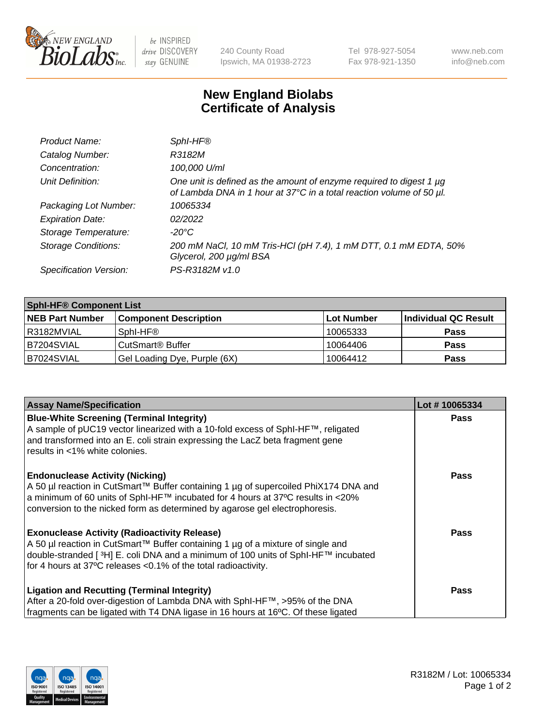

be INSPIRED drive DISCOVERY stay GENUINE

240 County Road Ipswich, MA 01938-2723 Tel 978-927-5054 Fax 978-921-1350 www.neb.com info@neb.com

## **New England Biolabs Certificate of Analysis**

| Product Name:              | SphI-HF®                                                                                                                                    |
|----------------------------|---------------------------------------------------------------------------------------------------------------------------------------------|
| Catalog Number:            | R3182M                                                                                                                                      |
| Concentration:             | 100,000 U/ml                                                                                                                                |
| Unit Definition:           | One unit is defined as the amount of enzyme required to digest 1 µg<br>of Lambda DNA in 1 hour at 37°C in a total reaction volume of 50 µl. |
| Packaging Lot Number:      | 10065334                                                                                                                                    |
| <b>Expiration Date:</b>    | 02/2022                                                                                                                                     |
| Storage Temperature:       | $-20^{\circ}$ C                                                                                                                             |
| <b>Storage Conditions:</b> | 200 mM NaCl, 10 mM Tris-HCl (pH 7.4), 1 mM DTT, 0.1 mM EDTA, 50%<br>Glycerol, 200 µg/ml BSA                                                 |
| Specification Version:     | PS-R3182M v1.0                                                                                                                              |

| <b>Sphl-HF® Component List</b> |                              |            |                      |  |  |
|--------------------------------|------------------------------|------------|----------------------|--|--|
| <b>NEB Part Number</b>         | <b>Component Description</b> | Lot Number | Individual QC Result |  |  |
| I R3182MVIAL                   | Sphl-HF®                     | 10065333   | <b>Pass</b>          |  |  |
| B7204SVIAL                     | CutSmart <sup>®</sup> Buffer | 10064406   | <b>Pass</b>          |  |  |
| B7024SVIAL                     | Gel Loading Dye, Purple (6X) | 10064412   | <b>Pass</b>          |  |  |

| <b>Assay Name/Specification</b>                                                                                                                                                                                                                                | Lot #10065334 |
|----------------------------------------------------------------------------------------------------------------------------------------------------------------------------------------------------------------------------------------------------------------|---------------|
| <b>Blue-White Screening (Terminal Integrity)</b><br>A sample of pUC19 vector linearized with a 10-fold excess of SphI-HF™, religated                                                                                                                           | <b>Pass</b>   |
| and transformed into an E. coli strain expressing the LacZ beta fragment gene<br>results in <1% white colonies.                                                                                                                                                |               |
| <b>Endonuclease Activity (Nicking)</b>                                                                                                                                                                                                                         | <b>Pass</b>   |
| A 50 µl reaction in CutSmart™ Buffer containing 1 µg of supercoiled PhiX174 DNA and<br>$\alpha$ a minimum of 60 units of SphI-HF™ incubated for 4 hours at 37°C results in <20%<br>conversion to the nicked form as determined by agarose gel electrophoresis. |               |
| <b>Exonuclease Activity (Radioactivity Release)</b>                                                                                                                                                                                                            | Pass          |
| A 50 µl reaction in CutSmart™ Buffer containing 1 µg of a mixture of single and<br>double-stranded [ <sup>3</sup> H] E. coli DNA and a minimum of 100 units of Sphl-HF™ incubated                                                                              |               |
| for 4 hours at 37°C releases <0.1% of the total radioactivity.                                                                                                                                                                                                 |               |
| <b>Ligation and Recutting (Terminal Integrity)</b>                                                                                                                                                                                                             | <b>Pass</b>   |
| After a 20-fold over-digestion of Lambda DNA with SphI-HF™, >95% of the DNA                                                                                                                                                                                    |               |
| fragments can be ligated with T4 DNA ligase in 16 hours at 16°C. Of these ligated                                                                                                                                                                              |               |